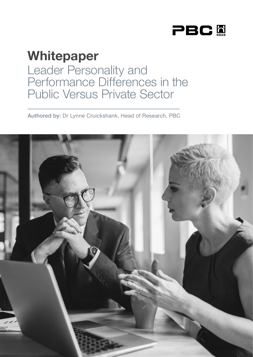

# Whitepaper Leader Personality and Performance Differences in the Public Versus Private Sector

Authored by: Dr Lynne Cruickshank, Head of Research, PBC

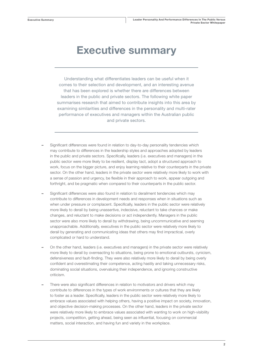## Executive summary

Understanding what differentiates leaders can be useful when it comes to their selection and development, and an interesting avenue that has been explored is whether there are differences between leaders in the public and private sectors. The following white paper summarises research that aimed to contribute insights into this area by examining similarities and differences in the personality and multi-rater performance of executives and managers within the Australian public and private sectors.

- Significant differences were found in relation to day-to-day personality tendencies which may contribute to differences in the leadership styles and approaches adopted by leaders in the public and private sectors. Specifically, leaders (i.e. executives and managers) in the public sector were more likely to be resilient, display tact, adopt a structured approach to work, focus on the bigger picture, and enjoy learning relative to their counterparts in the private sector. On the other hand, leaders in the private sector were relatively more likely to work with a sense of passion and urgency, be flexible in their approach to work, appear outgoing and forthright, and be pragmatic when compared to their counterparts in the public sector.
- Significant differences were also found in relation to derailment tendencies which may contribute to differences in development needs and responses when in situations such as when under pressure or complacent. Specifically, leaders in the public sector were relatively more likely to derail by being unassertive, indecisive, reluctant to take chances or make changes, and reluctant to make decisions or act independently. Managers in the public sector were also more likely to derail by withdrawing, being uncommunicative and seeming unapproachable. Additionally, executives in the public sector were relatively more likely to derail by generating and communicating ideas that others may find impractical, overly complicated or hard to understand.
- On the other hand, leaders (i.e. executives and managers) in the private sector were relatively more likely to derail by overreacting to situations, being prone to emotional outbursts, cynicism, defensiveness and fault-finding. They were also relatively more likely to derail by being overly confident and overestimating their competence, acting hastily and taking unnecessary risks, dominating social situations, overvaluing their independence, and ignoring constructive criticism.
- There were also significant differences in relation to motivators and drivers which may contribute to differences in the types of work environments or cultures that they are likely to foster as a leader. Specifically, leaders in the public sector were relatively more likely to embrace values associated with helping others, having a positive impact on society, innovation, and objective decision-making processes. On the other hand, leaders in the private sector were relatively more likely to embrace values associated with wanting to work on high-visibility projects, competition, getting ahead, being seen as influential, focusing on commercial matters, social interaction, and having fun and variety in the workplace.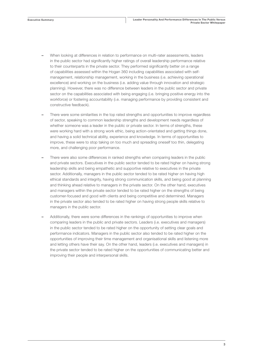- When looking at differences in relation to performance on multi-rater assessments, leaders in the public sector had significantly higher ratings of overall leadership performance relative to their counterparts in the private sector. They performed significantly better on a range of capabilities assessed within the Hogan 360 including capabilities associated with selfmanagement, relationship management, working in the business (i.e. achieving operational excellence) and working on the business (i.e. adding value through innovation and strategic planning). However, there was no difference between leaders in the public sector and private sector on the capabilities associated with being engaging (i.e. bringing positive energy into the workforce) or fostering accountability (i.e. managing performance by providing consistent and constructive feedback).
- There were some similarities in the top rated strengths and opportunities to improve regardless of sector, speaking to common leadership strengths and development needs regardless of whether someone was a leader in the public or private sector. In terms of strengths, these were working hard with a strong work ethic, being action-orientated and getting things done, and having a solid technical ability, experience and knowledge. In terms of opportunities to improve, these were to stop taking on too much and spreading oneself too thin, delegating more, and challenging poor performance.
- There were also some differences in ranked strengths when comparing leaders in the public and private sectors. Executives in the public sector tended to be rated higher on having strong leadership skills and being empathetic and supportive relative to executives in the private sector. Additionally, managers in the public sector tended to be rated higher on having high ethical standards and integrity, having strong communication skills, and being good at planning and thinking ahead relative to managers in the private sector. On the other hand, executives and managers within the private sector tended to be rated higher on the strengths of being customer-focused and good with clients and being competitive and determined. Managers in the private sector also tended to be rated higher on having strong people skills relative to managers in the public sector.
- Additionally, there were some differences in the rankings of opportunities to improve when comparing leaders in the public and private sectors. Leaders (i.e. executives and managers) in the public sector tended to be rated higher on the opportunity of setting clear goals and performance indicators. Managers in the public sector also tended to be rated higher on the opportunities of improving their time management and organisational skills and listening more and letting others have their say. On the other hand, leaders (i.e. executives and managers) in the private sector tended to be rated higher on the opportunities of communicating better and improving their people and interpersonal skills.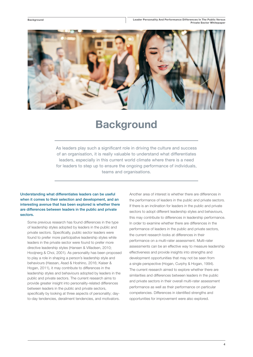Background



## **Background**

As leaders play such a significant role in driving the culture and success of an organisation, it is really valuable to understand what differentiates leaders, especially in this current world climate where there is a need for leaders to step up to ensure the ongoing performance of individuals, teams and organisations.

Understanding what differentiates leaders can be useful when it comes to their selection and development, and an interesting avenue that has been explored is whether there are differences between leaders in the public and private sectors.

Some previous research has found differences in the type of leadership styles adopted by leaders in the public and private sectors. Specifically, public sector leaders were found to prefer more participative leadership styles while leaders in the private sector were found to prefer more directive leadership styles (Hansen & Villadsen, 2010; Hooijnerg & Choi, 2001). As personality has been proposed to play a role in shaping a person's leadership style and behaviours (Hassan, Asad & Hoshino, 2016; Kaiser & Hogan, 2011), it may contribute to differences in the leadership styles and behaviours adopted by leaders in the public and private sectors. The current research aims to provide greater insight into personality-related differences between leaders in the public and private sectors, specifically by looking at three aspects of personality; dayto-day tendencies, derailment tendencies, and motivators.

Another area of interest is whether there are differences in the performance of leaders in the public and private sectors. If there is an inclination for leaders in the public and private sectors to adopt different leadership styles and behaviours, this may contribute to differences in leadership performance. In order to examine whether there are differences in the performance of leaders in the public and private sectors, the current research looks at differences in their performance on a multi-rater assessment. Multi-rater assessments can be an effective way to measure leadership effectiveness and provide insights into strengths and development opportunities that may not be seen from a single perspective (Hogan, Curphy & Hogan, 1994). The current research aimed to explore whether there are similarities and differences between leaders in the public and private sectors in their overall multi-rater assessment performance as well as their performance on particular competencies. Differences in identified strengths and opportunities for improvement were also explored.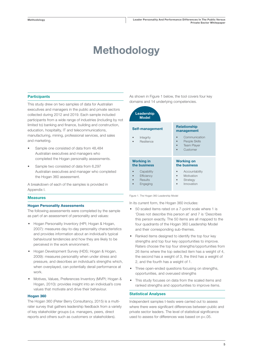# Methodology

## **Participants**

This study drew on two samples of data for Australian executives and managers in the public and private sectors collected during 2012 and 2019. Each sample included participants from a wide range of industries (including by not limited to) banking and finance, building and construction, education, hospitality, IT and telecommunications, manufacturing, mining, professional services, and sales and marketing.

- Sample one consisted of data from 48,484 Australian executives and managers who completed the Hogan personality assessments.
- Sample two consisted of data from 6,297 Australian executives and manager who completed the Hogan 360 assessment.

A breakdown of each of the samples is provided in Appendix I.

### **Measures**

#### Hogan Personality Assessments

The following assessments were completed by the sample as part of an assessment of personality and values:

- Hogan Personality Inventory (HPI; Hogan & Hogan, 2007): measures day-to-day personality characteristics and provides information about an individual's typical behavioural tendencies and how they are likely to be perceived in the work environment.
- Hogan Development Survey (HDS; Hogan & Hogan, 2009): measures personality when under stress and pressure, and describes an individual's strengths which, when overplayed, can potentially derail performance at work.
- Motives, Values, Preferences Inventory (MVPI; Hogan & Hogan, 2010): provides insight into an individual's core values that motivate and drive their behaviour.

#### Hogan 360

The Hogan 360 (Peter Berry Consultancy, 2015) is a multirater survey that gathers leadership feedback from a variety of key stakeholder groups (i.e. managers, peers, direct reports and others such as customers or stakeholders).

As shown in Figure 1 below, the tool covers four key domains and 14 underlying competencies.

| Leadership<br><b>Model</b>                      |                                                              |
|-------------------------------------------------|--------------------------------------------------------------|
| Self-management                                 | <b>Relationship</b><br>management<br>Communication           |
| Integrity<br>Resilience                         | People Skills<br><b>Team Player</b><br>$\bullet$<br>Customer |
| <b>Working in</b><br>the business               | <b>Working on</b><br>the business                            |
| Capability<br>Efficiency<br>Results<br>Engaging | Accountability<br>Motivation<br>Strategy<br>Innovation       |

Figure 1. The Hogan 360 Leadership Model

In its current form, the Hogan 360 includes:

- 50 scaled items rated on a 7-point scale where 1 is 'Does not describe this person at' and 7 is 'Describes this person exactly. The 50 items are all mapped to the four quadrants of the Hogan 360 Leadership Model and their corresponding sub-themes.
- Ranked items designed to identify the top four key strengths and top four key opportunities to improve. Raters choose the top four strengths/opportunities from 26 items where the top selected item has a weight of 4, the second has a weight of 3, the third has a weight of 2, and the fourth has a weight of 1.
- Three open-ended questions focusing on strengths, opportunities, and overused strengths
- This study focuses on data from the scaled items and ranked strengths and opportunities to improve items.

## Statistical Analyses

Independent samples t-tests were carried out to assess where there were significant differences between public and private sector leaders. The level of statistical significance used to assess for differences was based on p<.05.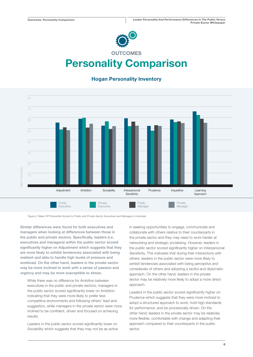

## Personality Comparison

## Hogan Personality Inventory



Figure 2. Mean HPI Percentile Scores for Public and Private Sector Executives and Managers in Australia

Similar differences were found for both executives and managers when looking at differences between those in the public and private sectors. Specifically, leaders (i.e. executives and managers) within the public sector scored significantly higher on Adjustment which suggests that they are more likely to exhibit tendencies associated with being resilient and able to handle high levels of pressure and workload. On the other hand, leaders in the private sector may be more inclined to work with a sense of passion and urgency and may be more susceptible to stress.

While there was no difference for Ambition between executives in the public and private sectors, managers in the public sector scored significantly lower on Ambition indicating that they were more likely to prefer less competitive environments and following others' lead and suggestion, while managers in the private sector were more inclined to be confident, driven and focused on achieving results.

Leaders in the public sector scored significantly lower on Sociability which suggests that they may not be as active in seeking opportunities to engage, communicate and collaborate with others relative to their counterparts in the private sector and they may need to work harder at networking and strategic socialising. However, leaders in the public sector scored significantly higher on Interpersonal Sensitivity. This indicates that during their interactions with others, leaders in the public sector were more likely to exhibit tendencies associated with being perceptive and considerate of others and adopting a tactful and diplomatic approach. On the other hand, leaders in the private sector may be relatively more likely to adopt a more direct approach.

Leaders in the public sector scored significantly higher on Prudence which suggests that they were more inclined to adopt a structured approach to work, hold high standards for performance, and be procedurally driven. On the other hand, leaders in the private sector may be relatively more flexible, comfortable with change and adapting their approach compared to their counterparts in the public sector.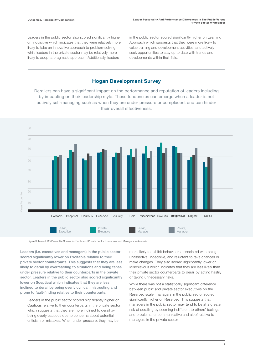Leaders in the public sector also scored significantly higher on Inquisitive which indicates that they were relatively more likely to take an innovative approach to problem-solving while leaders in the private sector may be relatively more likely to adopt a pragmatic approach. Additionally, leaders

in the public sector scored significantly higher on Learning Approach which suggests that they were more likely to value training and development activities, and actively seek opportunities to stay up to date with trends and developments within their field.

## Hogan Development Survey

actively self-managing such as when they are under pressure or complacent and can hinder Derailers can have a significant impact on the performance and reputation of leaders including by impacting on their leadership style. These tendencies can emerge when a leader is not their overall effectiveness.



Figure 3. Mean HDS Percentile Scores for Public and Private Sector Executives and Managers in Australia

Leaders (i.e. executives and managers) in the public sector scored significantly lower on Excitable relative to their private sector counterparts. This suggests that they are less likely to derail by overreacting to situations and being tense under pressure relative to their counterparts in the private sector. Leaders in the public sector also scored significantly lower on Sceptical which indicates that they are less inclined to derail by being overly cynical, mistrusting and prone to fault-finding relative to their counterparts.

Leaders in the public sector scored significantly higher on Cautious relative to their counterparts in the private sector which suggests that they are more inclined to derail by being overly cautious due to concerns about potential criticism or mistakes. When under pressure, they may be

more likely to exhibit behaviours associated with being unassertive, indecisive, and reluctant to take chances or make changes. They also scored significantly lower on Mischievous which indicates that they are less likely than their private sector counterparts to derail by acting hastily or taking unnecessary risks.

While there was not a statistically significant difference between public and private sector executives on the Reserved scale, managers in the public sector scored significantly higher on Reserved. This suggests that managers in the public sector may tend to be at a greater risk of derailing by seeming indifferent to others' feelings and problems, uncommunicative and aloof relative to managers in the private sector.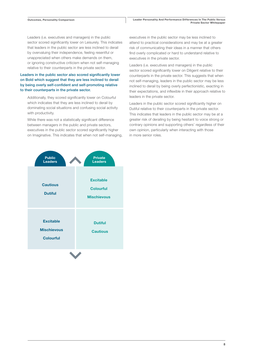Leaders (i.e. executives and managers) in the public sector scored significantly lower on Leisurely. This indicates that leaders in the public sector are less inclined to derail by overvaluing their independence, feeling resentful or unappreciated when others make demands on them, or ignoring constructive criticism when not self-managing relative to their counterparts in the private sector.

## Leaders in the public sector also scored significantly lower on Bold which suggest that they are less inclined to derail by being overly self-confident and self-promoting relative to their counterparts in the private sector.

Additionally, they scored significantly lower on Colourful which indicates that they are less inclined to derail by dominating social situations and confusing social activity with productivity.

While there was not a statistically significant difference between managers in the public and private sectors, executives in the public sector scored significantly higher on Imaginative. This indicates that when not self-managing, executives in the public sector may be less inclined to attend to practical considerations and may be at a greater risk of communicating their ideas in a manner that others find overly complicated or hard to understand relative to executives in the private sector.

Leaders (i.e. executives and managers) in the public sector scored significantly lower on Diligent relative to their counterparts in the private sector. This suggests that when not self-managing, leaders in the public sector may be less inclined to derail by being overly perfectionistic, exacting in their expectations, and inflexible in their approach relative to leaders in the private sector.

Leaders in the public sector scored significantly higher on Dutiful relative to their counterparts in the private sector. This indicates that leaders in the public sector may be at a greater risk of derailing by being hesitant to voice strong or contrary opinions and supporting others' regardless of their own opinion, particularly when interacting with those in more senior roles.

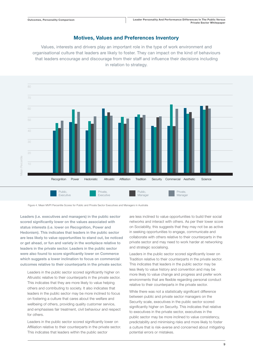## Motives, Values and Preferences Inventory

Values, interests and drivers play an important role in the type of work environment and organisational culture that leaders are likely to foster. They can impact on the kind of behaviours that leaders encourage and discourage from their staff and influence their decisions including in relation to strategy.



Figure 4. Mean MVPI Percentile Scores for Public and Private Sector Executives and Managers in Australia

Leaders (i.e. executives and managers) in the public sector scored significantly lower on the values associated with status interests (i.e. lower on Recognition, Power and Hedonism). This indicates that leaders in the public sector are less likely to value opportunities to stand out, be noticed or get ahead, or fun and variety in the workplace relative to leaders in the private sector. Leaders in the public sector were also found to score significantly lower on Commerce which suggests a lower inclination to focus on commercial outcomes relative to their counterparts in the private sector.

Leaders in the public sector scored significantly higher on Altruistic relative to their counterparts in the private sector. This indicates that they are more likely to value helping others and contributing to society. It also indicates that leaders in the public sector may be more inclined to focus on fostering a culture that cares about the welfare and wellbeing of others, providing quality customer service, and emphasises fair treatment, civil behaviour and respect for others.

Leaders in the public sector scored significantly lower on Affiliation relative to their counterparts in the private sector. This indicates that leaders within the public sector

are less inclined to value opportunities to build their social networks and interact with others. As per their lower score on Sociability, this suggests that they may not be as active in seeking opportunities to engage, communicate and collaborate with others relative to their counterparts in the private sector and may need to work harder at networking and strategic socialising.

Leaders in the public sector scored significantly lower on Tradition relative to their counterparts in the private sector. This indicates that leaders in the public sector may be less likely to value history and convention and may be more likely to value change and progress and prefer work environments that are flexible regarding personal conduct relative to their counterparts in the private sector.

While there was not a statistically significant difference between public and private sector managers on the Security scale, executives in the public sector scored significantly higher on Security. This indicates that relative to executives in the private sector, executives in the public sector may be more inclined to value consistency, predictability and minimising risks and more likely to foster a culture that is risk-averse and concerned about mitigating potential errors or mistakes.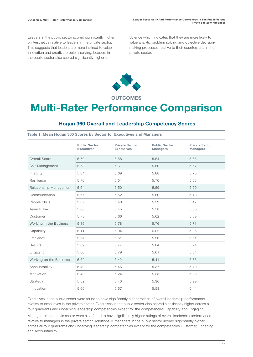Leaders in the public sector scored significantly higher on Aesthetics relative to leaders in the private sector. This suggests that leaders are more inclined to value innovation and creative problem-solving. Leaders in the public sector also scored significantly higher on

Science which indicates that they are more likely to value analytic problem solving and objective decisionmaking processes relative to their counterparts in the private sector.



**OUTCOMES** 

## Multi-Rater Performance Comparison

## Hogan 360 Overall and Leadership Competency Scores

Table 1: Mean Hogan 360 Scores by Sector for Executives and Managers

|                         | <b>Public Sector</b><br><b>Executives</b> | <b>Private Sector</b><br><b>Executives</b> | <b>Public Sector</b><br><b>Managers</b> | <b>Private Sector</b><br><b>Managers</b> |
|-------------------------|-------------------------------------------|--------------------------------------------|-----------------------------------------|------------------------------------------|
| Overall Score           | 5.70                                      | 5.58                                       | 5.64                                    | 5.56                                     |
| Self-Management         | 5.78                                      | 5.61                                       | 5.80                                    | 5.67                                     |
| Integrity               | 5.84                                      | 5.69                                       | 5.88                                    | 5.76                                     |
| Resilience              | 5.70                                      | 5.51                                       | 5.70                                    | 5.55                                     |
| Relationship Management | 5.64                                      | 5.50                                       | 5.59                                    | 5.50                                     |
| Communication           | 5.67                                      | 5.52                                       | 5.60                                    | 5.48                                     |
| People Skills           | 5.57                                      | 5.40                                       | 5.59                                    | 5.47                                     |
| Team Player             | 5.60                                      | 5.45                                       | 5.58                                    | 5.50                                     |
| Customer                | 5.73                                      | 5.66                                       | 5.62                                    | 5.59                                     |
| Working in the Business | 5.86                                      | 5.78                                       | 5.76                                    | 5.71                                     |
| Capability              | 6.11                                      | 6.04                                       | 6.02                                    | 5.96                                     |
| Efficiency              | 5.64                                      | 5.51                                       | 5.56                                    | 5.51                                     |
| Results                 | 5.89                                      | 5.77                                       | 5.84                                    | 5.74                                     |
| Engaging                | 5.80                                      | 5.79                                       | 5.61                                    | 5.64                                     |
| Working on the Business | 5.52                                      | 5.42                                       | 5.41                                    | 5.36                                     |
| Accountability          | 5.49                                      | 5.46                                       | 5.37                                    | 5.40                                     |
| Motivation              | 5.40                                      | 5.24                                       | 5.35                                    | 5.29                                     |
| Strategy                | 5.52                                      | 5.40                                       | 5.36                                    | 5.29                                     |
| Innovation              | 5.66                                      | 5.57                                       | 5.53                                    | 5.44                                     |

Executives in the public sector were found to have significantly higher ratings of overall leadership performance relative to executives in the private sector. Executives in the public sector also scored significantly higher across all four quadrants and underlying leadership competencies except for the competencies Capability and Engaging.

Managers in the public sector were also found to have significantly higher ratings of overall leadership performance relative to managers in the private sector. Additionally, managers in the public sector scored significantly higher across all four quadrants and underlying leadership competencies except for the competencies Customer, Engaging, and Accountability.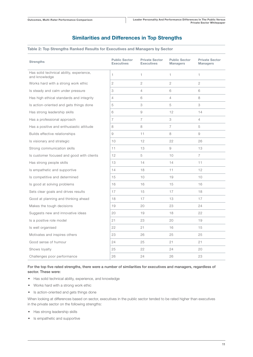## Similarities and Differences in Top Strengths

### Table 2: Top Strengths Ranked Results for Executives and Managers by Sector

| <b>Strengths</b>                                          | <b>Public Sector</b><br><b>Executives</b> | <b>Private Sector</b><br><b>Executives</b> | <b>Public Sector</b><br><b>Managers</b> | <b>Private Sector</b><br><b>Managers</b> |
|-----------------------------------------------------------|-------------------------------------------|--------------------------------------------|-----------------------------------------|------------------------------------------|
| Has solid technical ability, experience,<br>and knowledge | 1                                         | $\mathbf{1}$                               | $\mathbf{1}$                            | 1                                        |
| Works hard with a strong work ethic                       | 2                                         | $\overline{c}$                             | 2                                       | 2                                        |
| Is steady and calm under pressure                         | 3                                         | $\overline{4}$                             | 6                                       | 6                                        |
| Has high ethical standards and integrity                  | $\overline{4}$                            | 6                                          | $\overline{4}$                          | 8                                        |
| Is action-oriented and gets things done                   | 5                                         | 3                                          | 5                                       | 3                                        |
| Has strong leadership skills                              | 6                                         | 9                                          | 12                                      | 14                                       |
| Has a professional approach                               | $\overline{7}$                            | $\overline{7}$                             | 3                                       | $\overline{4}$                           |
| Has a positive and enthusiastic attitude                  | 8                                         | 8                                          | $\overline{7}$                          | 5                                        |
| Builds effective relationships                            | 9                                         | 11                                         | 8                                       | 9                                        |
| Is visionary and strategic                                | 10                                        | 12                                         | 22                                      | 26                                       |
| Strong communication skills                               | 11                                        | 13                                         | 9                                       | 13                                       |
| Is customer focused and good with clients                 | 12                                        | 5                                          | 10                                      | $\overline{7}$                           |
| Has strong people skills                                  | 13                                        | 14                                         | 14                                      | 11                                       |
| Is empathetic and supportive                              | 14                                        | 18                                         | 11                                      | 12                                       |
| Is competitive and determined                             | 15                                        | 10                                         | 19                                      | 10                                       |
| Is good at solving problems                               | 16                                        | 16                                         | 15                                      | 16                                       |
| Sets clear goals and drives results                       | 17                                        | 15                                         | 17                                      | 18                                       |
| Good at planning and thinking ahead                       | 18                                        | 17                                         | 13                                      | 17                                       |
| Makes the tough decisions                                 | 19                                        | 20                                         | 23                                      | 24                                       |
| Suggests new and innovative ideas                         | 20                                        | 19                                         | 18                                      | 22                                       |
| Is a positive role model                                  | 21                                        | 23                                         | 20                                      | 19                                       |
| Is well organised                                         | 22                                        | 21                                         | 16                                      | 15                                       |
| Motivates and inspires others                             | 23                                        | 26                                         | 25                                      | 25                                       |
| Good sense of humour                                      | 24                                        | 25                                         | 21                                      | 21                                       |
| Shows loyalty                                             | 25                                        | 22                                         | 24                                      | 20                                       |
| Challenges poor performance                               | 26                                        | 24                                         | 26                                      | 23                                       |

For the top five rated strengths, there were a number of similarities for executives and managers, regardless of sector. These were:

- Has solid technical ability, experience, and knowledge
- Works hard with a strong work ethic
- Is action-oriented and gets things done

When looking at differences based on sector, executives in the public sector tended to be rated higher than executives in the private sector on the following strengths:

- Has strong leadership skills
- Is empathetic and supportive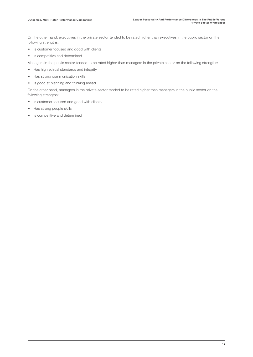On the other hand, executives in the private sector tended to be rated higher than executives in the public sector on the following strengths:

- Is customer focused and good with clients
- Is competitive and determined

Managers in the public sector tended to be rated higher than managers in the private sector on the following strengths:

- Has high ethical standards and integrity
- Has strong communication skills
- Is good at planning and thinking ahead

On the other hand, managers in the private sector tended to be rated higher than managers in the public sector on the following strengths:

- Is customer focused and good with clients
- Has strong people skills
- Is competitive and determined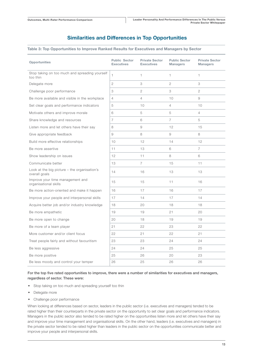## Similarities and Differences in Top Opportunities

### Table 3: Top Opportunities to Improve Ranked Results for Executives and Managers by Sector

| <b>Opportunities</b>                                            | <b>Public Sector</b><br><b>Executives</b> | <b>Private Sector</b><br><b>Executives</b> | <b>Public Sector</b><br><b>Managers</b> | <b>Private Sector</b><br><b>Managers</b> |
|-----------------------------------------------------------------|-------------------------------------------|--------------------------------------------|-----------------------------------------|------------------------------------------|
| Stop taking on too much and spreading yourself<br>too thin      | 1.                                        | $\mathbf{1}$                               | $\mathbf{1}$                            | $\mathbf{1}$                             |
| Delegate more                                                   | 2                                         | 3                                          | 2                                       | 3                                        |
| Challenge poor performance                                      | 3                                         | $\overline{2}$                             | 3                                       | $\overline{2}$                           |
| Be more available and visible in the workplace                  | 4                                         | $\overline{4}$                             | 10                                      | 9                                        |
| Set clear goals and performance indicators                      | 5                                         | 10                                         | $\overline{4}$                          | 10                                       |
| Motivate others and improve morale                              | 6                                         | 5                                          | 5                                       | $\overline{4}$                           |
| Share knowledge and resources                                   | $\overline{7}$                            | 6                                          | $\overline{7}$                          | 5                                        |
| Listen more and let others have their say                       | 8                                         | 9                                          | 12                                      | 15                                       |
| Give appropriate feedback                                       | 9                                         | 8                                          | 9                                       | 8                                        |
| Build more effective relationships                              | 10                                        | 12                                         | 14                                      | 12                                       |
| Be more assertive                                               | 11                                        | 13                                         | 6                                       | $\overline{7}$                           |
| Show leadership on issues                                       | 12                                        | 11                                         | 8                                       | 6                                        |
| Communicate better                                              | 13                                        | $\overline{7}$                             | 15                                      | 11                                       |
| Look at the big picture $-$ the organisation's<br>overall goals | 14                                        | 16                                         | 13                                      | 13                                       |
| Improve your time management and<br>organisational skills       | 15                                        | 15                                         | 11                                      | 16                                       |
| Be more action-oriented and make it happen                      | 16                                        | 17                                         | 16                                      | 17                                       |
| Improve your people and interpersonal skills                    | 17                                        | 14                                         | 17                                      | 14                                       |
| Acquire better job and/or industry knowledge                    | 18                                        | 20                                         | 18                                      | 18                                       |
| Be more empathetic                                              | 19                                        | 19                                         | 21                                      | 20                                       |
| Be more open to change                                          | 20                                        | 18                                         | 19                                      | 19                                       |
| Be more of a team player                                        | 21                                        | 22                                         | 23                                      | 22                                       |
| More customer and/or client focus                               | 22                                        | 21                                         | 22                                      | 21                                       |
| Treat people fairly and without favouritism                     | 23                                        | 23                                         | 24                                      | 24                                       |
| Be less aggressive                                              | 24                                        | 24                                         | 25                                      | 25                                       |
| Be more positive                                                | 25                                        | 26                                         | 20                                      | 23                                       |
| Be less moody and control your temper                           | 26                                        | 25                                         | 26                                      | 26                                       |

### For the top five rated opportunities to improve, there were a number of similarities for executives and managers, regardless of sector. These were:

- Stop taking on too much and spreading yourself too thin
- Delegate more
- Challenge poor performance

When looking at differences based on sector, leaders in the public sector (i.e. executives and managers) tended to be rated higher than their counterparts in the private sector on the opportunity to set clear goals and performance indicators. Managers in the public sector also tended to be rated higher on the opportunities listen more and let others have their say and improve your time management and organisational skills. On the other hand, leaders (i.e. executives and managers) in the private sector tended to be rated higher than leaders in the public sector on the opportunities communicate better and improve your people and interpersonal skills.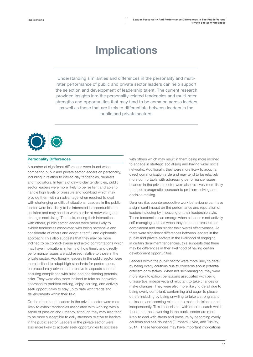## Implications

Understanding similarities and differences in the personality and multirater performance of public and private sector leaders can help support the selection and development of leadership talent. The current research provided insights into the personality-related tendencies and multi-rater strengths and opportunities that may tend to be common across leaders as well as those that are likely to differentiate between leaders in the public and private sectors.



### Personality Differences

A number of significant differences were found when comparing public and private sector leaders on personality, including in relation to day-to-day tendencies, derailers and motivators. In terms of day-to-day tendencies, public sector leaders were more likely to be resilient and able to handle high levels of pressure and workload which may provide them with an advantage when required to deal with challenging or difficult situations. Leaders in the public sector were less likely to be interested in opportunities to socialise and may need to work harder at networking and strategic socialising. That said, during their interactions with others, public sector leaders were more likely to exhibit tendencies associated with being perceptive and considerate of others and adopt a tactful and diplomatic approach. This also suggests that they may be more inclined to be conflict-averse and avoid confrontations which may have implications in terms of how timely and directly performance issues are addressed relative to those in the private sector. Additionally, leaders in the public sector were more inclined to adopt high standards for performance, be procedurally driven and attentive to aspects such as ensuring compliance with rules and considering potential risks. They were also more inclined to take an innovative approach to problem-solving, enjoy learning, and actively seek opportunities to stay up to date with trends and developments within their field.

On the other hand, leaders in the private sector were more likely to exhibit tendencies associated with working with a sense of passion and urgency, although they may also tend to be more susceptible to daily stressors relative to leaders in the public sector. Leaders in the private sector were also more likely to actively seek opportunities to socialise

with others which may result in them being more inclined to engage in strategic socialising and having wider social networks. Additionally, they were more likely to adopt a direct communication style and may tend to be relatively more comfortable with addressing performance issues. Leaders in the private sector were also relatively more likely to adopt a pragmatic approach to problem-solving and decision making.

Derailers (i.e. counterproductive work behaviours) can have a significant impact on the performance and reputation of leaders including by impacting on their leadership style. These tendencies can emerge when a leader is not actively self-managing such as when they are under pressure or complacent and can hinder their overall effectiveness. As there were significant differences between leaders in the public and private sectors in the likelihood of engaging in certain derailment tendencies, this suggests that there may be differences in their likelihood of having certain development opportunities.

Leaders within the public sector were more likely to derail by being overly cautious due to concerns about potential criticism or mistakes. When not self-managing, they were more likely to exhibit behaviours associated with being unassertive, indecisive, and reluctant to take chances or make changes. They were also more likely to derail due to being overly compliant, conforming and eager to please others including by being unwilling to take a strong stand on issues and seeming reluctant to make decisions or act independently. This is consistent with other research which found that those working in the public sector are more likely to deal with stress and pressure by becoming overly cautious and self-doubting (Furnham, Hyde, and Trickey, 2014). These tendencies may have important implications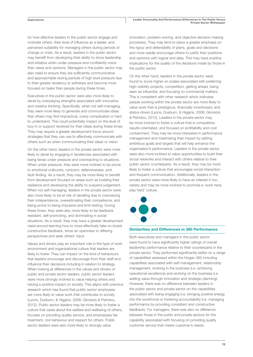for how effective leaders in the public sector engage and motivate others, their level of influence as a leader, and perceived suitability for managing others during periods of change or crisis. As a result, leaders in the public sector may benefit from developing their ability to show leadership and initiative when under pressure and confidently voice their views and opinions. Managers in the public sector may also need to ensure they are sufficiently communicative and approachable during periods of high level pressure due to their greater tendency to withdraw and become more focused on tasks than people during these times.

Executives in the public sector were also more likely to derail by overplaying strengths associated with innovative and creative thinking. Specifically, when not self-managing, they were more likely to generate and communicate ideas that others may find impractical, overly complicated or hard to understand. This could potentially impact on the level of buy-in or support received for their ideas during these times. They may require a greater development focus around strategies that they can use to effectively communicate with others such as when communicating their ideas or vision.

On the other hand, leaders in the private sector were more likely to derail by engaging in tendencies associated with being tense under pressure and overreacting to situations. When under pressure, they were more inclined to be prone to emotional outbursts, cynicism, defensiveness, and fault-finding. As a result, they may be more likely to benefit from development focused on areas such as building their resilience and developing the ability to suspend judgement. When not self-managing, leaders in the private sector were also more likely to be at risk of derailing due to overvaluing their independence, overestimating their competence, and being prone to being impulsive and limit-testing. During these times, they were also more likely to be feedback resistant, self-promoting, and dominating in social situations. As a result, they may have a greater development need around learning how to more effectively take on board constructive feedback, show an openness to differing perspectives and seek others' input.

Values and drivers play an important role in the type of work environment and organisational culture that leaders are likely to foster. They can impact on the kind of behaviours that leaders encourage and discourage from their staff and influence their decisions including in relation to strategy. When looking at differences in the values and drivers of public and private sector leaders, public sector leaders were more strongly inclined to value helping others and having a positive impact on society. This aligns with previous research which has found that public sector employees are more likely to value work that contributes to society (Lyons, Duxburn, & Higgins, 2006; Gkorezis & Petridou, 2012). Public sector leaders may be more likely to foster a culture that cares about the welfare and wellbeing of others, focuses on providing quality service, and emphasises fair treatment, civil behaviour and respect for others. Public sector leaders were also more likely to strongly value

innovation, problem-solving, and objective decision-making processes. They may tend to place a greater emphasis on the rigour and defensibility of plans, goals and decisions and more readily encourage others to justify their positions and opinions with logical and data. This may have positive implications for the quality of the decisions made by those in the public sector.

On the other hand, leaders in the private sector were found to score higher on scales associated with preferring high-visibility projects, competition, getting ahead, being seen as influential, and focusing on commercial matters. This is consistent with other research which indicates people working within the private sector are more likely to value work that is prestigious, financially incentivised, and status-driven (Lyons, Duxburn, & Higgins, 2006; Gkorezis & Petridou, 2012). Leaders in the private sector may be more inclined to foster a culture that is competitive, results-orientated, and focused on profitability and cost containment. They may be more interested in performance management and maximising their impact by setting ambitious goals and targets that will help enhance the organisation's performance. Leaders in the private sector were also more inclined to value opportunities to build their social networks and interact with others relative to their public sector counterparts. As a result, they may be more likely to foster a culture that encourages social interaction and frequent communication. Additionally, leaders in the private sector were more likely to have an interest in fun, variety and may be more inclined to promote a 'work hard, play hard' culture.



#### Similarities and Differences in 360 Performance

Both executives and managers in the public sector were found to have significantly higher ratings of overall leadership performance relative to their counterparts in the private sector. They performed significantly better on a range of capabilities assessed within the Hogan 360 including capabilities associated with self-management, relationship management, working in the business (i.e. achieving operational excellence) and working on the business (i.e. adding value through innovation and strategic planning). However, there was no difference between leaders in the public sector and private sector on the capabilities associated with being engaging (i.e. bringing positive energy into the workforce) or fostering accountability (i.e. managing performance by providing consistent and constructive feedback). For managers, there was also no difference between those in the public and private sectors for the capability associated with focusing on providing quality customer service that meets customer's needs.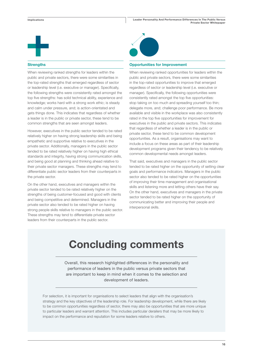

#### **Strengths**

When reviewing ranked strengths for leaders within the public and private sectors, there were some similarities in the top-rated strengths that emerged regardless of sector or leadership level (i.e. executive or manager). Specifically, the following strengths were consistently rated amongst the top five strengths: has solid technical ability, experience and knowledge; works hard with a strong work ethic; is steady and calm under pressure, and; is action-orientated and gets things done. This indicates that regardless of whether a leader is in the public or private sector, these tend to be common strengths that are seen amongst leaders.

However, executives in the public sector tended to be rated relatively higher on having strong leadership skills and being empathetic and supportive relative to executives in the private sector. Additionally, managers in the public sector tended to be rated relatively higher on having high ethical standards and integrity, having strong communication skills, and being good at planning and thinking ahead relative to their private sector managers. These strengths may tend to differentiate public sector leaders from their counterparts in the private sector.

On the other hand, executives and managers within the private sector tended to be rated relatively higher on the strengths of being customer-focused and good with clients and being competitive and determined. Managers in the private sector also tended to be rated higher on having strong people skills relative to managers in the public sector. These strengths may tend to differentiate private sector leaders from their counterparts in the public sector.



#### Opportunities for Improvement

When reviewing ranked opportunities for leaders within the public and private sectors, there were some similarities in the top-rated opportunities to improve that emerged regardless of sector or leadership level (i.e. executive or manager). Specifically, the following opportunities were consistently rated amongst the top five opportunities: stop taking on too much and spreading yourself too thin; delegate more, and; challenge poor performance. Be more available and visible in the workplace was also consistently rated in the top five opportunities for improvement for executives in the public and private sectors. This indicates that regardless of whether a leader is in the public or private sector, these tend to be common development opportunities. As a result, organisations may want to include a focus on these areas as part of their leadership development programs given their tendency to be relatively common developmental needs amongst leaders.

That said, executives and managers in the public sector tended to be rated higher on the opportunity of setting clear goals and performance indicators. Managers in the public sector also tended to be rated higher on the opportunities of improving their time management and organisational skills and listening more and letting others have their say. On the other hand, executives and managers in the private sector tended to be rated higher on the opportunity of communicating better and improving their people and interpersonal skills.

## Concluding comments

Overall, this research highlighted differences in the personality and performance of leaders in the public versus private sectors that are important to keep in mind when it comes to the selection and development of leaders.

For selection, it is important for organisations to select leaders that align with the organisation's strategy and the key objectives of the leadership role. For leadership development, while there are likely to be common opportunities regardless of sector, there may also be opportunities that are more unique to particular leaders and warrant attention. This includes particular derailers that may be more likely to impact on the performance and reputation for some leaders relative to others.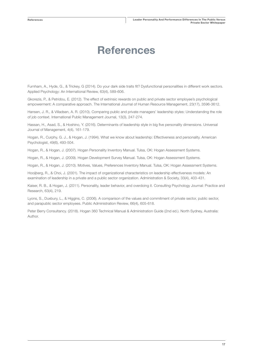## References

Furnham, A., Hyde, G., & Trickey, G (2014). Do your dark side traits fit? Dysfunctional personalities in different work sectors. Applied Psychology: An International Review, 63(4), 589-606.

Gkorezis, P., & Petridou, E. (2012). The effect of extrinsic rewards on public and private sector employee's psychological empowerment: A comparative approach. The International Journal of Human Resource Management, 23(17), 3596-3612.

Hansen, J. R., & Villadsen, A. R. (2010). Comparing public and private managers' leadership styles: Understanding the role of job context. International Public Management Journal, 13(3), 247-274.

Hassan, H., Asad, S., & Hoshino, Y. (2016). Determinants of leadership style in big five personality dimensions. Universal Journal of Management, 4(4), 161-179.

Hogan, R., Curphy, G. J., & Hogan, J. (1994). What we know about leadership: Effectiveness and personality. American Psychologist, 49(6), 493-504.

Hogan, R., & Hogan, J. (2007). Hogan Personality Inventory Manual. Tulsa, OK: Hogan Assessment Systems.

Hogan, R., & Hogan, J. (2009). Hogan Development Survey Manual. Tulsa, OK: Hogan Assessment Systems.

Hogan, R., & Hogan, J. (2010). Motives, Values, Preferences Inventory Manual. Tulsa, OK: Hogan Assessment Systems.

Hooijberg, R., & Choi, J. (2001). The impact of organizational characteristics on leadership effectiveness models: An examination of leadership in a private and a public sector organization. Administration & Society, 33(4), 403-431.

Kaiser, R. B., & Hogan, J. (2011). Personality, leader behavior, and overdoing it. Consulting Psychology Journal: Practice and Research, 63(4), 219.

Lyons, S., Duxbury, L., & Higgins, C. (2006). A comparison of the values and commitment of private sector, public sector, and parapublic sector employees. Public Administration Review, 66(4), 605-618.

Peter Berry Consultancy. (2018). Hogan 360 Technical Manual & Administration Guide (2nd ed.). North Sydney, Australia: Author.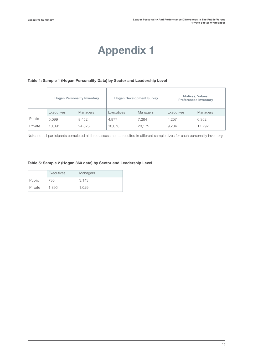# Appendix 1

## Table 4: Sample 1 (Hogan Personality Data) by Sector and Leadership Level

|         |                   | <b>Hogan Personality Inventory</b> |            | <b>Hogan Development Survey</b> |            | Motives, Values,<br><b>Preferences Inventory</b> |
|---------|-------------------|------------------------------------|------------|---------------------------------|------------|--------------------------------------------------|
|         | <b>Executives</b> | <b>Managers</b>                    | Executives | <b>Managers</b>                 | Executives | <b>Managers</b>                                  |
| Public  | 5.099             | 8.452                              | 4.877      | 7.264                           | 4.257      | 6,362                                            |
| Private | 10.891            | 24,825                             | 10,078     | 20.175                          | 9,284      | 17,792                                           |

Note: not all participants completed all three assessments, resulted in different sample sizes for each personality inventory.

### Table 5: Sample 2 (Hogan 360 data) by Sector and Leadership Level

|         | <b>Executives</b> | <b>Managers</b> |
|---------|-------------------|-----------------|
| Public  | 730               | 3.143           |
| Private | 1,395             | 1.029           |